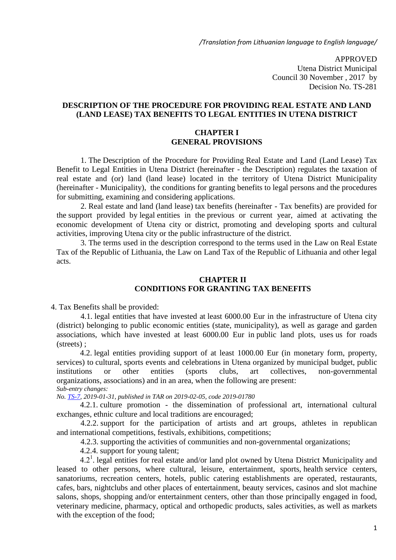*/Translation from Lithuanian language to English language/*

APPROVED Utena District Municipal Council 30 November , 2017 by Decision No. TS-281

## **DESCRIPTION OF THE PROCEDURE FOR PROVIDING REAL ESTATE AND LAND (LAND LEASE) TAX BENEFITS TO LEGAL ENTITIES IN UTENA DISTRICT**

#### **CHAPTER I GENERAL PROVISIONS**

1. The Description of the Procedure for Providing Real Estate and Land (Land Lease) Tax Benefit to Legal Entities in Utena District (hereinafter - the Description) regulates the taxation of real estate and (or) land (land lease) located in the territory of Utena District Municipality (hereinafter - Municipality), the conditions for granting benefits to legal persons and the procedures for submitting, examining and considering applications.

2. Real estate and land (land lease) tax benefits (hereinafter - Tax benefits) are provided for the support provided by legal entities in the previous or current year, aimed at activating the economic development of Utena city or district, promoting and developing sports and cultural activities, improving Utena city or the public infrastructure of the district.

3. The terms used in the description correspond to the terms used in the Law on Real Estate Tax of the Republic of Lithuania, the Law on Land Tax of the Republic of Lithuania and other legal acts.

# **CHAPTER II CONDITIONS FOR GRANTING TAX BENEFITS**

4. Tax Benefits shall be provided:

4.1. legal entities that have invested at least 6000.00 Eur in the infrastructure of Utena city (district) belonging to public economic entities (state, municipality), as well as garage and garden associations, which have invested at least 6000.00 Eur in public land plots, uses us for roads (streets) ;

4.2. legal entities providing support of at least 1000.00 Eur (in monetary form, property, services) to cultural, sports events and celebrations in Utena organized by municipal budget, public institutions or other entities (sports clubs, art collectives, non-governmental organizations, associations) and in an area, when the following are present: *Sub-entry changes:*

*No. [TS-7,](https://www.e-tar.lt/portal/legalAct.html?documentId=4e67a100294411e9b66f85227a03f7a3) 2019-01-31, published in TAR on 2019-02-05, code 2019-01780*

4.2.1. culture promotion - the dissemination of professional art, international cultural exchanges, ethnic culture and local traditions are encouraged;

4.2.2. support for the participation of artists and art groups, athletes in republican and international competitions, festivals, exhibitions, competitions;

4.2.3. supporting the activities of communities and non-governmental organizations;

4.2.4. support for young talent;

 $4.2<sup>1</sup>$ . legal entities for real estate and/or land plot owned by Utena District Municipality and leased to other persons, where cultural, leisure, entertainment, sports, health service centers, sanatoriums, recreation centers, hotels, public catering establishments are operated, restaurants, cafes, bars, nightclubs and other places of entertainment, beauty services, casinos and slot machine salons, shops, shopping and/or entertainment centers, other than those principally engaged in food, veterinary medicine, pharmacy, optical and orthopedic products, sales activities, as well as markets with the exception of the food;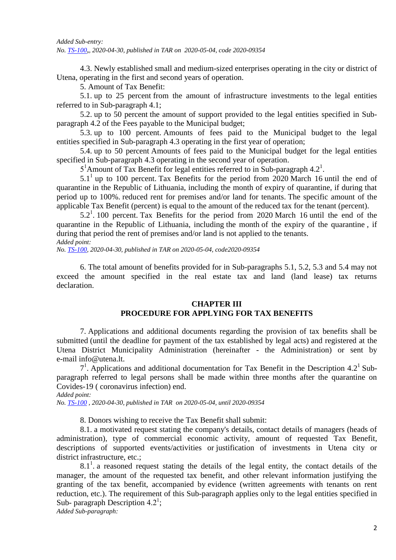4.3. Newly established small and medium-sized enterprises operating in the city or district of Utena, operating in the first and second years of operation.

5. Amount of Tax Benefit:

5.1. up to 25 percent from the amount of infrastructure investments to the legal entities referred to in Sub-paragraph 4.1;

5.2. up to 50 percent the amount of support provided to the legal entities specified in Subparagraph 4.2 of the Fees payable to the Municipal budget;

5.3. up to 100 percent. Amounts of fees paid to the Municipal budget to the legal entities specified in Sub-paragraph 4.3 operating in the first year of operation;

5.4. up to 50 percent Amounts of fees paid to the Municipal budget for the legal entities specified in Sub-paragraph 4.3 operating in the second year of operation.

5<sup>1</sup>Amount of Tax Benefit for legal entities referred to in Sub-paragraph 4.2<sup>1</sup>.

 $5.1<sup>1</sup>$  up to 100 percent. Tax Benefits for the period from 2020 March 16 until the end of quarantine in the Republic of Lithuania, including the month of expiry of quarantine, if during that period up to 100%. reduced rent for premises and/or land for tenants. The specific amount of the applicable Tax Benefit (percent) is equal to the amount of the reduced tax for the tenant (percent).

 $5.2<sup>1</sup>$ . 100 percent. Tax Benefits for the period from 2020 March 16 until the end of the quarantine in the Republic of Lithuania, including the month of the expiry of the quarantine , if during that period the rent of premises and/or land is not applied to the tenants.

*Added point:*

*No[. TS-100,](https://www.e-tar.lt/portal/legalAct.html?documentId=4eb923f08dd811ea9515f752ff221ec9) 2020-04-30, published in TAR on 2020-05-04, code2020-09354*

6. The total amount of benefits provided for in Sub-paragraphs 5.1, 5.2, 5.3 and 5.4 may not exceed the amount specified in the real estate tax and land (land lease) tax returns declaration.

# **CHAPTER III PROCEDURE FOR APPLYING FOR TAX BENEFITS**

7. Applications and additional documents regarding the provision of tax benefits shall be submitted (until the deadline for payment of the tax established by legal acts) and registered at the Utena District Municipality Administration (hereinafter - the Administration) or sent by e-mail info@utena.lt.

 $7<sup>1</sup>$ . Applications and additional documentation for Tax Benefit in the Description 4.2<sup>1</sup> Subparagraph referred to legal persons shall be made within three months after the quarantine on Covides-19 ( coronavirus infection) end.

*Added point:*

*No. [TS-100](https://www.e-tar.lt/portal/legalAct.html?documentId=4eb923f08dd811ea9515f752ff221ec9) , 2020-04-30, published in TAR on 2020-05-04, until 2020-09354*

8. Donors wishing to receive the Tax Benefit shall submit:

8.1. a motivated request stating the company's details, contact details of managers (heads of administration), type of commercial economic activity, amount of requested Tax Benefit, descriptions of supported events/activities or justification of investments in Utena city or district infrastructure, etc.;

 $8.1<sup>1</sup>$ . a reasoned request stating the details of the legal entity, the contact details of the manager, the amount of the requested tax benefit, and other relevant information justifying the granting of the tax benefit, accompanied by evidence (written agreements with tenants on rent reduction, etc.). The requirement of this Sub-paragraph applies only to the legal entities specified in Sub- paragraph Description  $4.2^1$ ; *Added Sub-paragraph:*